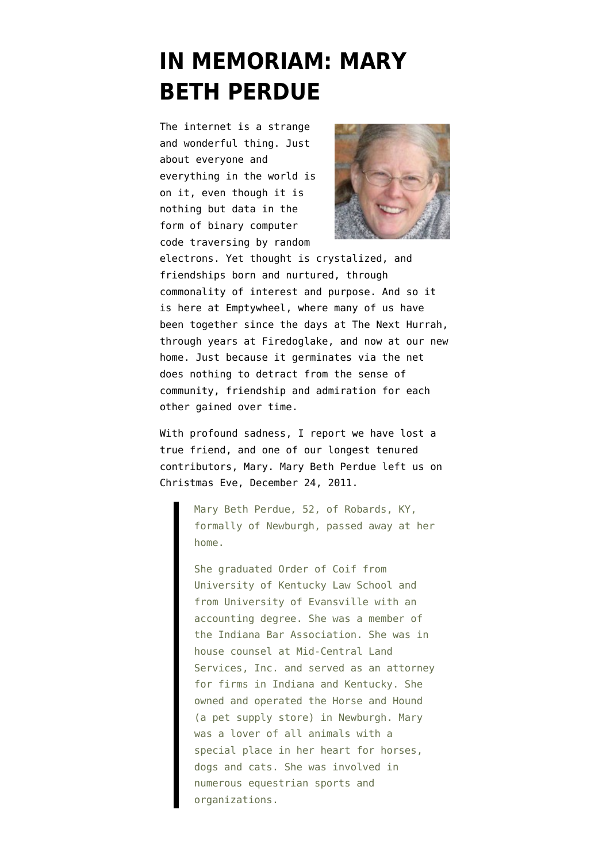## **[IN MEMORIAM: MARY](https://www.emptywheel.net/2012/02/06/in-memoriam-mary-beth-perdue/) [BETH PERDUE](https://www.emptywheel.net/2012/02/06/in-memoriam-mary-beth-perdue/)**

The internet is a strange and wonderful thing. Just about everyone and everything in the world is on it, even though it is nothing but data in the form of binary computer code traversing by random



electrons. Yet thought is crystalized, and friendships born and nurtured, through commonality of interest and purpose. And so it is here at Emptywheel, where many of us have been together since the days at The Next Hurrah, through years at Firedoglake, and now at our new home. Just because it germinates via the net does nothing to detract from the sense of community, friendship and admiration for each other gained over time.

With profound sadness, I report we have lost a true friend, and one of our longest tenured contributors, Mary. [Mary Beth Perdue](http://obit.ziemerfuneralhome.com/obitdisplay.html?id=1006662) left us on Christmas Eve, December 24, 2011.

> Mary Beth Perdue, 52, of Robards, KY, formally of Newburgh, passed away at her home.

> She graduated Order of Coif from University of Kentucky Law School and from University of Evansville with an accounting degree. She was a member of the Indiana Bar Association. She was in house counsel at Mid-Central Land Services, Inc. and served as an attorney for firms in Indiana and Kentucky. She owned and operated the Horse and Hound (a pet supply store) in Newburgh. Mary was a lover of all animals with a special place in her heart for horses, dogs and cats. She was involved in numerous equestrian sports and organizations.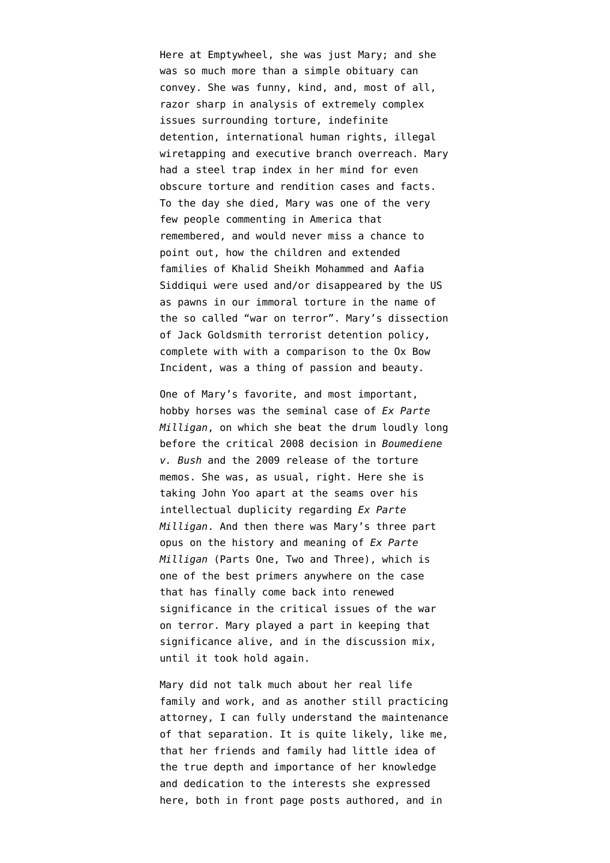Here at Emptywheel, she was just Mary; and she was so much more than a simple obituary can convey. She was funny, kind, and, most of all, razor sharp in analysis of extremely complex issues surrounding torture, indefinite detention, international human rights, illegal wiretapping and executive branch overreach. Mary had a steel trap index in her mind for even obscure torture and rendition cases and facts. To the day she died, Mary was one of the very few people commenting in America that remembered, and would never miss a chance to point out, how the children and extended families of Khalid Sheikh Mohammed and [Aafia](http://emptywheel.firedoglake.com/2010/04/11/has-aafia-siddiquis-daughter-surfaced/) [Siddiqui](http://emptywheel.firedoglake.com/2010/04/11/has-aafia-siddiquis-daughter-surfaced/) were used and/or disappeared by the US as pawns in our immoral torture in the name of the so called "war on terror". [Mary's dissection](http://emptywheel.firedoglake.com/2010/09/11/a-way-towards-the-rule-of-law-–-an-answer-to-cap’n-jack/) [of Jack Goldsmith terrorist detention policy](http://emptywheel.firedoglake.com/2010/09/11/a-way-towards-the-rule-of-law-–-an-answer-to-cap’n-jack/), complete with with a comparison to the Ox Bow Incident, was a thing of passion and beauty.

One of Mary's favorite, and most important, hobby horses was the seminal case of *Ex Parte Milligan*, on which she beat the drum loudly long before the critical 2008 decision in *Boumediene v. Bush* and the 2009 release of the torture memos. She was, as usual, right. [Here she is](http://emptywheel.firedoglake.com/2009/12/08/yoo-to-opr-law-is-“largely-irrelevant”/) [taking John Yoo apart at the seams](http://emptywheel.firedoglake.com/2009/12/08/yoo-to-opr-law-is-“largely-irrelevant”/) over his intellectual duplicity regarding *Ex Parte Milligan*. And then there was Mary's three part opus on the history and meaning of *Ex Parte Milligan* (Parts [One](http://emptywheel.firedoglake.com/2010/10/04/unconstitutional-surveillance-united-states-v-u-s-district-court-who-the-winner-is-may-be-a-secret-part-1/), [Two](http://emptywheel.firedoglake.com/2010/10/05/unconstitutional-surveillance-united-states-v-united-states-district-court-who-the-winner-is-may-be-a-secret-part-2/) and [Three](http://emptywheel.firedoglake.com/2010/10/21/unconstitutional-surveillance-united-states-v-united-states-district-court-who-the-winner-is-may-be-a-secret-–-part-3/)), which is one of the best primers anywhere on the case that has finally come back into renewed significance in the critical issues of the war on terror. Mary played a part in keeping that significance alive, and in the discussion mix, until it took hold again.

Mary did not talk much about her real life family and work, and as another still practicing attorney, I can fully understand the maintenance of that separation. It is quite likely, like me, that her friends and family had little idea of the true depth and importance of her knowledge and dedication to the interests she expressed here, both in front page posts authored, and in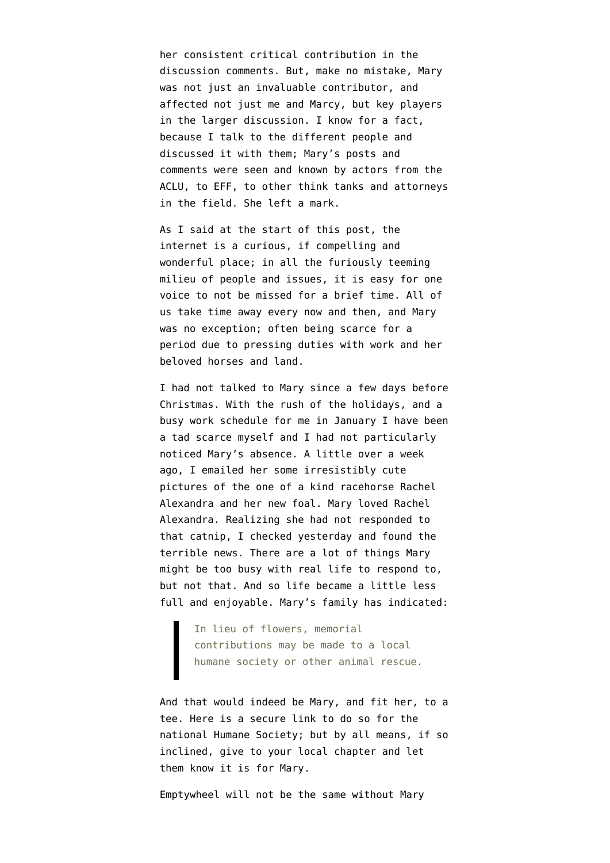her consistent critical contribution in the discussion comments. But, make no mistake, Mary was not just an invaluable contributor, and affected not just me and Marcy, but key players in the larger discussion. I know for a fact, because I talk to the different people and discussed it with them; Mary's posts and comments were seen and known by actors from the ACLU, to EFF, to other think tanks and attorneys in the field. She left a mark.

As I said at the start of this post, the internet is a curious, if compelling and wonderful place; in all the furiously teeming milieu of people and issues, it is easy for one voice to not be missed for a brief time. All of us take time away every now and then, and Mary was no exception; often being scarce for a period due to pressing duties with work and her beloved horses and land.

I had not talked to Mary since a few days before Christmas. With the rush of the holidays, and a busy work schedule for me in January I have been a tad scarce myself and I had not particularly noticed Mary's absence. A little over a week ago, I emailed her some irresistibly cute pictures of the one of a kind racehorse Rachel Alexandra and her new foal. Mary loved Rachel Alexandra. Realizing she had not responded to that catnip, I checked yesterday and found the terrible news. There are a lot of things Mary might be too busy with real life to respond to, but not that. And so life became a little less full and enjoyable. Mary's family has indicated:

> In lieu of flowers, memorial contributions may be made to a local humane society or other animal rescue.

And that would indeed be Mary, and fit her, to a tee. Here is a [secure link](https://secure.humanesociety.org/site/Donation2?df_id=2320&2320.donation=form1&s_src=April_hp_changes_donate) to do so for the national Humane Society; but by all means, if so inclined, give to your local chapter and let them know it is for Mary.

Emptywheel will not be the same without Mary